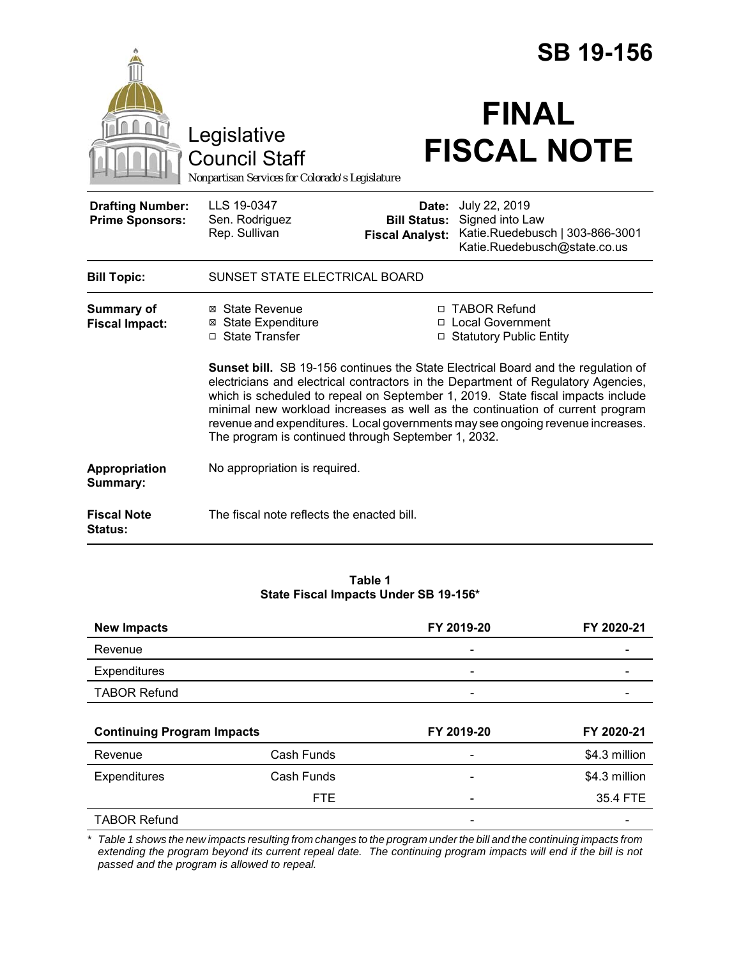|                                                   |                                                                                                                                                                                                                                                                                                                                                                                                                                                                                     |                                                        | <b>SB 19-156</b>                                                                                    |  |
|---------------------------------------------------|-------------------------------------------------------------------------------------------------------------------------------------------------------------------------------------------------------------------------------------------------------------------------------------------------------------------------------------------------------------------------------------------------------------------------------------------------------------------------------------|--------------------------------------------------------|-----------------------------------------------------------------------------------------------------|--|
|                                                   | Legislative<br><b>Council Staff</b><br>Nonpartisan Services for Colorado's Legislature                                                                                                                                                                                                                                                                                                                                                                                              |                                                        | <b>FINAL</b><br><b>FISCAL NOTE</b>                                                                  |  |
| <b>Drafting Number:</b><br><b>Prime Sponsors:</b> | LLS 19-0347<br>Sen. Rodriguez<br>Rep. Sullivan                                                                                                                                                                                                                                                                                                                                                                                                                                      | Date:<br><b>Bill Status:</b><br><b>Fiscal Analyst:</b> | July 22, 2019<br>Signed into Law<br>Katie.Ruedebusch   303-866-3001<br>Katie.Ruedebusch@state.co.us |  |
| <b>Bill Topic:</b>                                | SUNSET STATE ELECTRICAL BOARD                                                                                                                                                                                                                                                                                                                                                                                                                                                       |                                                        |                                                                                                     |  |
| <b>Summary of</b><br><b>Fiscal Impact:</b>        | ⊠ State Revenue<br>⊠ State Expenditure<br>□ State Transfer                                                                                                                                                                                                                                                                                                                                                                                                                          |                                                        | □ TABOR Refund<br>□ Local Government<br>□ Statutory Public Entity                                   |  |
|                                                   | Sunset bill. SB 19-156 continues the State Electrical Board and the regulation of<br>electricians and electrical contractors in the Department of Regulatory Agencies,<br>which is scheduled to repeal on September 1, 2019. State fiscal impacts include<br>minimal new workload increases as well as the continuation of current program<br>revenue and expenditures. Local governments may see ongoing revenue increases.<br>The program is continued through September 1, 2032. |                                                        |                                                                                                     |  |
| Appropriation<br>Summary:                         | No appropriation is required.                                                                                                                                                                                                                                                                                                                                                                                                                                                       |                                                        |                                                                                                     |  |
| <b>Fiscal Note</b><br><b>Status:</b>              | The fiscal note reflects the enacted bill.                                                                                                                                                                                                                                                                                                                                                                                                                                          |                                                        |                                                                                                     |  |

#### **Table 1 State Fiscal Impacts Under SB 19-156\***

| <b>New Impacts</b>                |            | FY 2019-20               | FY 2020-21    |
|-----------------------------------|------------|--------------------------|---------------|
| Revenue                           |            | $\overline{\phantom{a}}$ |               |
| Expenditures                      |            |                          |               |
| <b>TABOR Refund</b>               |            |                          |               |
|                                   |            |                          |               |
|                                   |            |                          |               |
| <b>Continuing Program Impacts</b> |            | FY 2019-20               | FY 2020-21    |
| Revenue                           | Cash Funds |                          | \$4.3 million |
| Expenditures                      | Cash Funds |                          | \$4.3 million |
|                                   | <b>FTE</b> |                          | 35.4 FTE      |

*\* Table 1 shows the new impacts resulting from changes to the program under the bill and the continuing impacts from extending the program beyond its current repeal date. The continuing program impacts will end if the bill is not passed and the program is allowed to repeal.*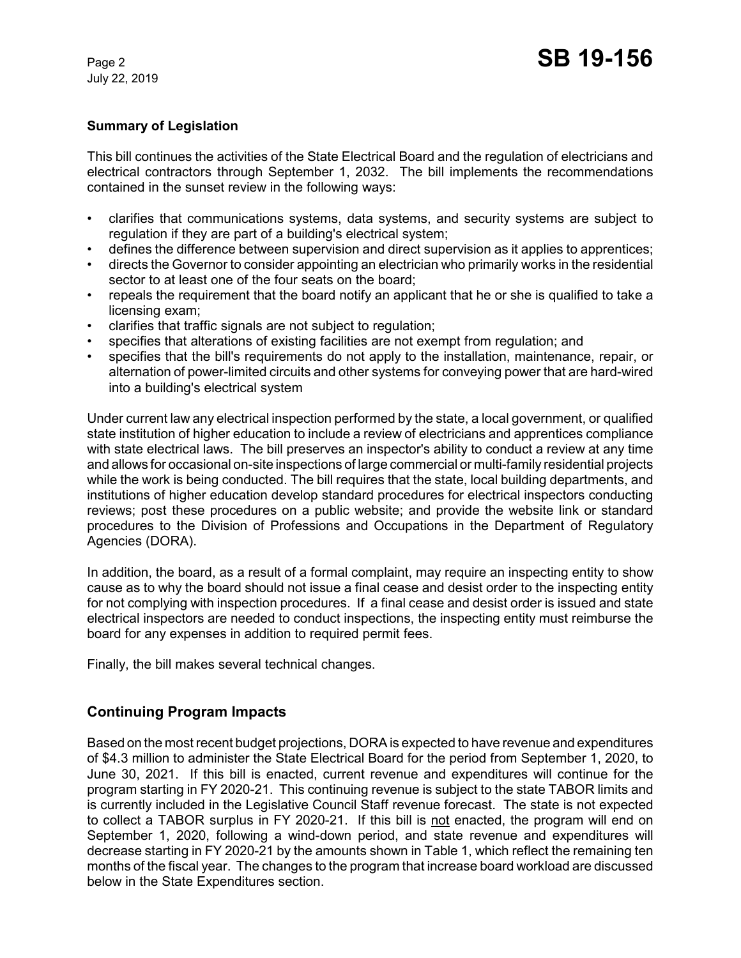July 22, 2019

# **Summary of Legislation**

This bill continues the activities of the State Electrical Board and the regulation of electricians and electrical contractors through September 1, 2032. The bill implements the recommendations contained in the sunset review in the following ways:

- clarifies that communications systems, data systems, and security systems are subject to regulation if they are part of a building's electrical system;
- defines the difference between supervision and direct supervision as it applies to apprentices;
- directs the Governor to consider appointing an electrician who primarily works in the residential sector to at least one of the four seats on the board;
- repeals the requirement that the board notify an applicant that he or she is qualified to take a licensing exam;
- clarifies that traffic signals are not subject to regulation;
- specifies that alterations of existing facilities are not exempt from regulation; and
- specifies that the bill's requirements do not apply to the installation, maintenance, repair, or alternation of power-limited circuits and other systems for conveying power that are hard-wired into a building's electrical system

Under current law any electrical inspection performed by the state, a local government, or qualified state institution of higher education to include a review of electricians and apprentices compliance with state electrical laws. The bill preserves an inspector's ability to conduct a review at any time and allows for occasional on-site inspections of large commercial or multi-family residential projects while the work is being conducted. The bill requires that the state, local building departments, and institutions of higher education develop standard procedures for electrical inspectors conducting reviews; post these procedures on a public website; and provide the website link or standard procedures to the Division of Professions and Occupations in the Department of Regulatory Agencies (DORA).

In addition, the board, as a result of a formal complaint, may require an inspecting entity to show cause as to why the board should not issue a final cease and desist order to the inspecting entity for not complying with inspection procedures. If a final cease and desist order is issued and state electrical inspectors are needed to conduct inspections, the inspecting entity must reimburse the board for any expenses in addition to required permit fees.

Finally, the bill makes several technical changes.

# **Continuing Program Impacts**

Based on the most recent budget projections, DORA is expected to have revenue and expenditures of \$4.3 million to administer the State Electrical Board for the period from September 1, 2020, to June 30, 2021. If this bill is enacted, current revenue and expenditures will continue for the program starting in FY 2020-21. This continuing revenue is subject to the state TABOR limits and is currently included in the Legislative Council Staff revenue forecast. The state is not expected to collect a TABOR surplus in FY 2020-21. If this bill is not enacted, the program will end on September 1, 2020, following a wind-down period, and state revenue and expenditures will decrease starting in FY 2020-21 by the amounts shown in Table 1, which reflect the remaining ten months of the fiscal year. The changes to the program that increase board workload are discussed below in the State Expenditures section.